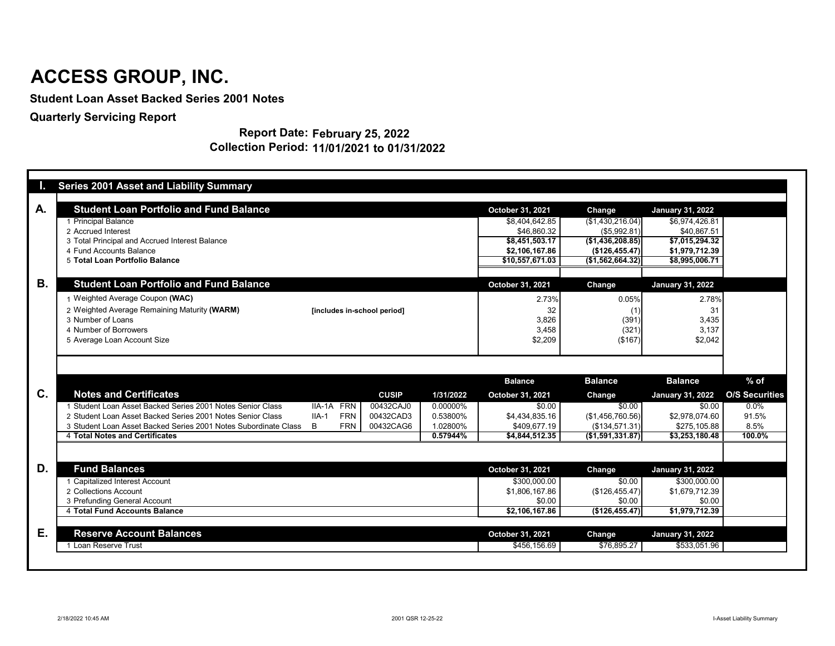|           | <b>Series 2001 Asset and Liability Summary</b>                       |                             |              |           |                               |                                  |                               |                       |
|-----------|----------------------------------------------------------------------|-----------------------------|--------------|-----------|-------------------------------|----------------------------------|-------------------------------|-----------------------|
| A.        | <b>Student Loan Portfolio and Fund Balance</b>                       |                             |              |           | October 31, 2021              | <b>Change</b>                    | <b>January 31, 2022</b>       |                       |
|           | 1 Principal Balance                                                  |                             |              |           | \$8,404,642.85                | (\$1,430,216.04)                 | \$6,974,426.81                |                       |
|           | 2 Accrued Interest<br>3 Total Principal and Accrued Interest Balance |                             |              |           | \$46,860.32<br>\$8,451,503.17 | (\$5,992.81)<br>(\$1,436,208.85) | \$40,867.51<br>\$7,015,294.32 |                       |
|           | 4 Fund Accounts Balance                                              |                             |              |           | \$2,106,167.86                | (\$126,455.47)                   | \$1,979,712.39                |                       |
|           | 5 Total Loan Portfolio Balance                                       |                             |              |           | \$10,557,671.03               | (\$1,562,664.32)]                | \$8,995,006.71                |                       |
|           |                                                                      |                             |              |           |                               |                                  |                               |                       |
| <b>B.</b> | <b>Student Loan Portfolio and Fund Balance</b>                       |                             |              |           | October 31, 2021              | <b>Change</b>                    | <b>January 31, 2022</b>       |                       |
|           | 1 Weighted Average Coupon (WAC)                                      |                             |              |           | 2.73%                         | 0.05%                            | 2.78%                         |                       |
|           | 2 Weighted Average Remaining Maturity (WARM)                         | [includes in-school period] |              |           | 32                            | (1)                              | 31                            |                       |
|           | 3 Number of Loans                                                    |                             |              |           | 3,826                         | (391)                            | 3,435                         |                       |
|           | 4 Number of Borrowers                                                |                             |              |           | 3,458                         | (321)                            | 3,137                         |                       |
|           | 5 Average Loan Account Size                                          |                             |              |           | \$2,209                       | (\$167)                          | \$2,042                       |                       |
|           |                                                                      |                             |              |           | <b>Balance</b>                | <b>Balance</b>                   | <b>Balance</b>                | $%$ of                |
| C.        | <b>Notes and Certificates</b>                                        |                             | <b>CUSIP</b> | 1/31/2022 | October 31, 2021              | <b>Change</b>                    | <b>January 31, 2022</b>       | <b>O/S Securities</b> |
|           |                                                                      |                             |              |           |                               |                                  |                               |                       |
|           | 1 Student Loan Asset Backed Series 2001 Notes Senior Class           | IIA-1A FRN                  | 00432CAJ0    | 0.00000%  | \$0.00                        | \$0.00                           | \$0.00                        | $0.0\%$               |
|           | 2 Student Loan Asset Backed Series 2001 Notes Senior Class           | <b>FRN</b><br>$IIA-1$       | 00432CAD3    | 0.53800%  | \$4,434,835.16                | (\$1,456,760.56)                 | \$2,978,074.60                | 91.5%                 |
|           | 3 Student Loan Asset Backed Series 2001 Notes Subordinate Class      | <b>FRN</b><br>B             | 00432CAG6    | 1.02800%  | \$409,677.19                  | (\$134,571.31)                   | \$275,105.88                  | 8.5%                  |
|           | 4 Total Notes and Certificates                                       |                             |              | 0.57944%  | \$4,844,512.35                | ( \$1,591,331.87)                | \$3,253,180.48                | 100.0%                |
|           |                                                                      |                             |              |           |                               |                                  |                               |                       |
|           | <b>Fund Balances</b>                                                 |                             |              |           | October 31, 2021              | Change                           | <b>January 31, 2022</b>       |                       |
|           | 1 Capitalized Interest Account                                       |                             |              |           | \$300,000.00                  | \$0.00                           | \$300,000.00                  |                       |
|           | 2 Collections Account                                                |                             |              |           | \$1,806,167.86                | (\$126,455.47)                   | \$1,679,712.39                |                       |
|           | 3 Prefunding General Account                                         |                             |              |           | \$0.00                        | \$0.00                           | \$0.00                        |                       |
|           | 4 Total Fund Accounts Balance                                        |                             |              |           | \$2,106,167.86                | (\$126,455.47)                   | \$1,979,712.39                |                       |
| D.<br>Е.  | <b>Reserve Account Balances</b>                                      |                             |              |           | October 31, 2021              | Change                           | <b>January 31, 2022</b>       |                       |

#### **Report Date: February 25, 2022 Collection Period: 11/01/2021 to 01/31/2022**

## **ACCESS GROUP, INC.**

**Student Loan Asset Backed Series 2001 Notes**

**Quarterly Servicing Report**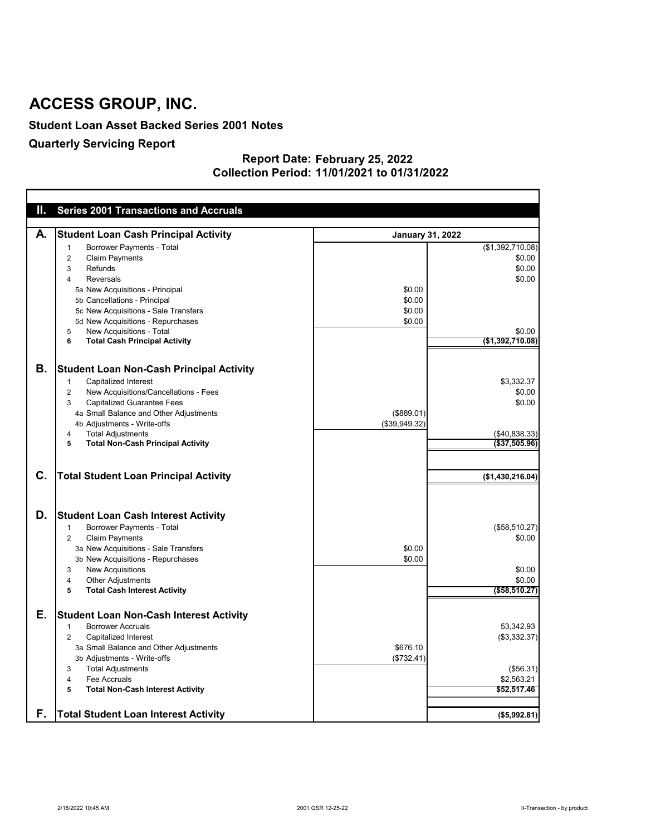#### **Student Loan Asset Backed Series 2001 Notes**

### **Quarterly Servicing Report**

#### **February 25, 2022 11/01/2021 to 01/31/2022 Report Date: Collection Period:**

| Ш. | <b>Series 2001 Transactions and Accruals</b>                                                                                                                            |                         |                           |
|----|-------------------------------------------------------------------------------------------------------------------------------------------------------------------------|-------------------------|---------------------------|
|    |                                                                                                                                                                         |                         |                           |
| А. | <b>Student Loan Cash Principal Activity</b>                                                                                                                             | <b>January 31, 2022</b> |                           |
|    | <b>Borrower Payments - Total</b><br>-1                                                                                                                                  |                         | (\$1,392,710.08)          |
|    | <b>Claim Payments</b><br>2                                                                                                                                              |                         | \$0.00                    |
|    | Refunds<br>3                                                                                                                                                            |                         | \$0.00                    |
|    | <b>Reversals</b><br>4                                                                                                                                                   |                         | \$0.00                    |
|    | 5a New Acquisitions - Principal                                                                                                                                         | \$0.00                  |                           |
|    | 5b Cancellations - Principal                                                                                                                                            | \$0.00                  |                           |
|    | 5c New Acquisitions - Sale Transfers                                                                                                                                    | \$0.00                  |                           |
|    | 5d New Acquisitions - Repurchases                                                                                                                                       | \$0.00                  |                           |
|    | New Acquisitions - Total<br>5                                                                                                                                           |                         | \$0.00                    |
|    | <b>Total Cash Principal Activity</b><br>6                                                                                                                               |                         | (\$1,392,710.08)          |
| В. |                                                                                                                                                                         |                         |                           |
|    | <b>Student Loan Non-Cash Principal Activity</b>                                                                                                                         |                         |                           |
|    | <b>Capitalized Interest</b><br>-1                                                                                                                                       |                         | \$3,332.37                |
|    | New Acquisitions/Cancellations - Fees<br>2                                                                                                                              |                         | \$0.00                    |
|    | <b>Capitalized Guarantee Fees</b><br>3                                                                                                                                  |                         | \$0.00                    |
|    | 4a Small Balance and Other Adjustments                                                                                                                                  | (\$889.01)              |                           |
|    | 4b Adjustments - Write-offs                                                                                                                                             | (\$39,949.32)           |                           |
|    | <b>Total Adjustments</b><br>4                                                                                                                                           |                         | ( \$40, 838.33)           |
|    | <b>Total Non-Cash Principal Activity</b><br>5                                                                                                                           |                         | ( \$37,505.96)            |
| C. | <b>Total Student Loan Principal Activity</b>                                                                                                                            |                         | (\$1,430,216.04)          |
| D. | <b>Student Loan Cash Interest Activity</b><br><b>Borrower Payments - Total</b><br>-1<br><b>Claim Payments</b><br>$\overline{2}$<br>3a New Acquisitions - Sale Transfers | \$0.00                  | (\$58,510.27)<br>\$0.00   |
|    | 3b New Acquisitions - Repurchases                                                                                                                                       | \$0.00                  |                           |
|    | <b>New Acquisitions</b><br>3                                                                                                                                            |                         | \$0.00                    |
|    | <b>Other Adjustments</b><br>4                                                                                                                                           |                         | \$0.00                    |
|    | <b>Total Cash Interest Activity</b><br>5                                                                                                                                |                         | $($ \$58,510.27)          |
| Е. | <b>Student Loan Non-Cash Interest Activity</b><br><b>Borrower Accruals</b><br>-1<br><b>Capitalized Interest</b><br>$\overline{2}$                                       |                         | 53,342.93<br>(\$3,332.37) |
|    | 3a Small Balance and Other Adjustments                                                                                                                                  | \$676.10                |                           |
|    | 3b Adjustments - Write-offs                                                                                                                                             | (\$732.41)              |                           |
|    | <b>Total Adjustments</b><br>3                                                                                                                                           |                         | (\$56.31)                 |
|    | Fee Accruals<br>4                                                                                                                                                       |                         | \$2,563.21                |
|    | <b>Total Non-Cash Interest Activity</b><br>5                                                                                                                            |                         | \$52,517.46               |
| F. | <b>Total Student Loan Interest Activity</b>                                                                                                                             |                         | (\$5,992.81)              |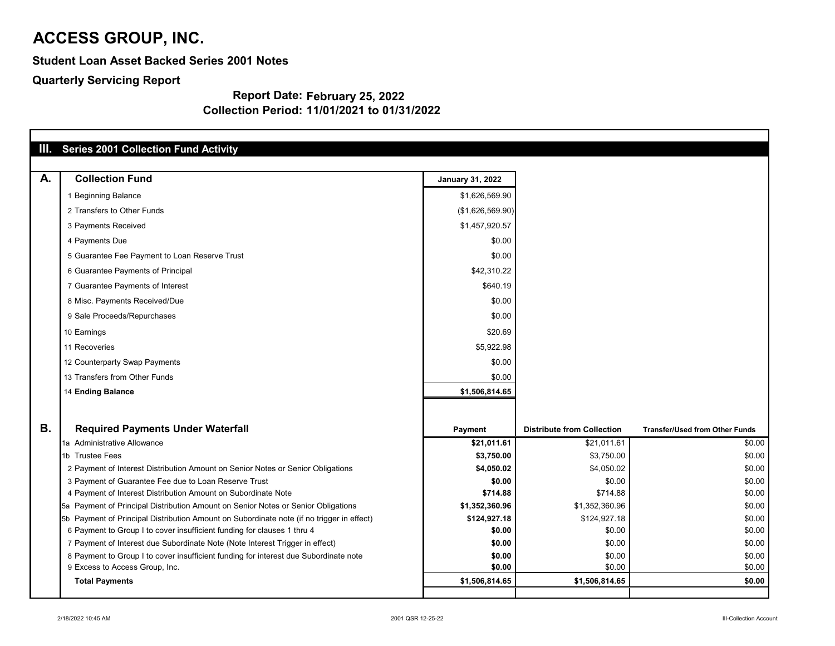**Student Loan Asset Backed Series 2001 Notes**

**Quarterly Servicing Report**

#### **Report Date: February 25, 2022 Collection Period: 11/01/2021 to 01/31/2022**

| Ш.        | <b>Series 2001 Collection Fund Activity</b>                                               |                         |                                   |                                       |
|-----------|-------------------------------------------------------------------------------------------|-------------------------|-----------------------------------|---------------------------------------|
| A.        | <b>Collection Fund</b>                                                                    | <b>January 31, 2022</b> |                                   |                                       |
|           | 1 Beginning Balance                                                                       | \$1,626,569.90          |                                   |                                       |
|           | 2 Transfers to Other Funds                                                                | (\$1,626,569.90)        |                                   |                                       |
|           | 3 Payments Received                                                                       | \$1,457,920.57          |                                   |                                       |
|           | 4 Payments Due                                                                            | \$0.00                  |                                   |                                       |
|           | 5 Guarantee Fee Payment to Loan Reserve Trust                                             | \$0.00                  |                                   |                                       |
|           | 6 Guarantee Payments of Principal                                                         | \$42,310.22             |                                   |                                       |
|           | 7 Guarantee Payments of Interest                                                          | \$640.19                |                                   |                                       |
|           | 8 Misc. Payments Received/Due                                                             | \$0.00                  |                                   |                                       |
|           | 9 Sale Proceeds/Repurchases                                                               | \$0.00                  |                                   |                                       |
|           | 10 Earnings                                                                               | \$20.69                 |                                   |                                       |
|           | 11 Recoveries                                                                             | \$5,922.98              |                                   |                                       |
|           | 12 Counterparty Swap Payments                                                             | \$0.00                  |                                   |                                       |
|           | 13 Transfers from Other Funds                                                             | \$0.00                  |                                   |                                       |
|           | 14 Ending Balance                                                                         | \$1,506,814.65          |                                   |                                       |
|           |                                                                                           |                         |                                   |                                       |
| <b>B.</b> | <b>Required Payments Under Waterfall</b>                                                  | <b>Payment</b>          | <b>Distribute from Collection</b> | <b>Transfer/Used from Other Funds</b> |
|           | 1a Administrative Allowance                                                               | \$21,011.61             | \$21,011.61                       | \$0.00                                |
|           | 1b Trustee Fees                                                                           | \$3,750.00              | \$3,750.00                        | \$0.00                                |
|           | 2 Payment of Interest Distribution Amount on Senior Notes or Senior Obligations           | \$4,050.02              | \$4,050.02                        | \$0.00                                |
|           | 3 Payment of Guarantee Fee due to Loan Reserve Trust                                      | \$0.00                  | \$0.00                            | \$0.00                                |
|           | 4 Payment of Interest Distribution Amount on Subordinate Note                             | \$714.88                | \$714.88                          | \$0.00                                |
|           | 5a Payment of Principal Distribution Amount on Senior Notes or Senior Obligations         | \$1,352,360.96          | \$1,352,360.96                    | \$0.00                                |
|           | 5b Payment of Principal Distribution Amount on Subordinate note (if no trigger in effect) | \$124,927.18            | \$124,927.18                      | \$0.00                                |
|           | 6 Payment to Group I to cover insufficient funding for clauses 1 thru 4                   | \$0.00                  | \$0.00                            | \$0.00                                |
|           | 7 Payment of Interest due Subordinate Note (Note Interest Trigger in effect)              | \$0.00                  | \$0.00                            | \$0.00                                |
|           | 8 Payment to Group I to cover insufficient funding for interest due Subordinate note      | \$0.00                  | \$0.00                            | \$0.00                                |
|           | 9 Excess to Access Group, Inc.                                                            | \$0.00                  | \$0.00                            | \$0.00                                |
|           | <b>Total Payments</b>                                                                     | \$1,506,814.65          | \$1,506,814.65                    | \$0.00                                |
|           |                                                                                           |                         |                                   |                                       |

| nsfer/Used from Other Funds |                  |
|-----------------------------|------------------|
|                             | \$0.00           |
|                             | \$0.00           |
|                             | \$0.00           |
|                             | \$0.00           |
|                             | \$0.00           |
|                             | \$0.00           |
|                             | \$0.00           |
|                             | \$0.00           |
|                             | \$0.00           |
|                             | \$0.00<br>\$0.00 |
|                             | \$0.00           |
|                             |                  |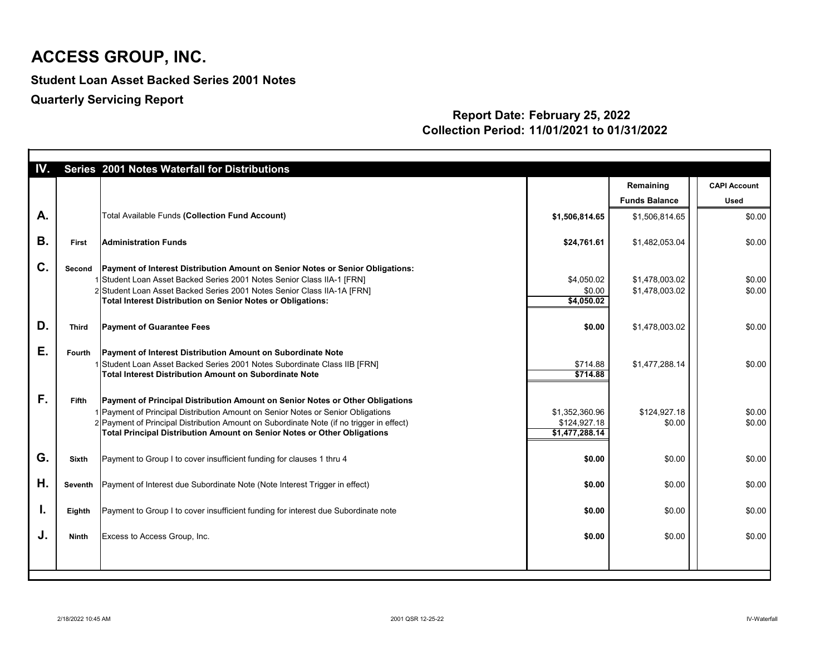**Student Loan Asset Backed Series 2001 Notes**

**Quarterly Servicing Report**

#### **Report Date: February 25, 2022 Collection Period: 11/01/2021 to 01/31/2022**

| IV.       |               | Series 2001 Notes Waterfall for Distributions                                                                                                                                                                                                                                                                                             |                                                  |                                   |                                    |
|-----------|---------------|-------------------------------------------------------------------------------------------------------------------------------------------------------------------------------------------------------------------------------------------------------------------------------------------------------------------------------------------|--------------------------------------------------|-----------------------------------|------------------------------------|
|           |               |                                                                                                                                                                                                                                                                                                                                           |                                                  | Remaining<br><b>Funds Balance</b> | <b>CAPI Account</b><br><b>Used</b> |
| A.        |               | <b>Total Available Funds (Collection Fund Account)</b>                                                                                                                                                                                                                                                                                    | \$1,506,814.65                                   | \$1,506,814.65                    | \$0.00                             |
| <b>B.</b> | First         | <b>Administration Funds</b>                                                                                                                                                                                                                                                                                                               | \$24,761.61                                      | \$1,482,053.04                    | \$0.00                             |
| C.        | Second        | Payment of Interest Distribution Amount on Senior Notes or Senior Obligations:<br>1 Student Loan Asset Backed Series 2001 Notes Senior Class IIA-1 [FRN]<br>2 Student Loan Asset Backed Series 2001 Notes Senior Class IIA-1A [FRN]<br><b>Total Interest Distribution on Senior Notes or Obligations:</b>                                 | \$4,050.02<br>\$0.00<br>\$4,050.02               | \$1,478,003.02<br>\$1,478,003.02  | \$0.00<br>\$0.00                   |
| D.        | <b>Third</b>  | <b>Payment of Guarantee Fees</b>                                                                                                                                                                                                                                                                                                          | \$0.00                                           | \$1,478,003.02                    | \$0.00                             |
| Ε.        | <b>Fourth</b> | <b>Payment of Interest Distribution Amount on Subordinate Note</b><br>1 Student Loan Asset Backed Series 2001 Notes Subordinate Class IIB [FRN]<br>Total Interest Distribution Amount on Subordinate Note                                                                                                                                 | \$714.88<br>\$714.88                             | \$1,477,288.14                    | \$0.00                             |
| F.        | <b>Fifth</b>  | Payment of Principal Distribution Amount on Senior Notes or Other Obligations<br>1 Payment of Principal Distribution Amount on Senior Notes or Senior Obligations<br>2 Payment of Principal Distribution Amount on Subordinate Note (if no trigger in effect)<br>Total Principal Distribution Amount on Senior Notes or Other Obligations | \$1,352,360.96<br>\$124,927.18<br>\$1,477,288.14 | \$124,927.18<br>\$0.00            | \$0.00<br>\$0.00                   |
| G.        | <b>Sixth</b>  | Payment to Group I to cover insufficient funding for clauses 1 thru 4                                                                                                                                                                                                                                                                     | \$0.00                                           | \$0.00                            | \$0.00                             |
| Η.        |               | Seventh   Payment of Interest due Subordinate Note (Note Interest Trigger in effect)                                                                                                                                                                                                                                                      | \$0.00                                           | \$0.00                            | \$0.00                             |
| I.        | Eighth        | Payment to Group I to cover insufficient funding for interest due Subordinate note                                                                                                                                                                                                                                                        | \$0.00                                           | \$0.00                            | \$0.00                             |
| J.        | <b>Ninth</b>  | Excess to Access Group, Inc.                                                                                                                                                                                                                                                                                                              | \$0.00                                           | \$0.00                            | \$0.00                             |
|           |               |                                                                                                                                                                                                                                                                                                                                           |                                                  |                                   |                                    |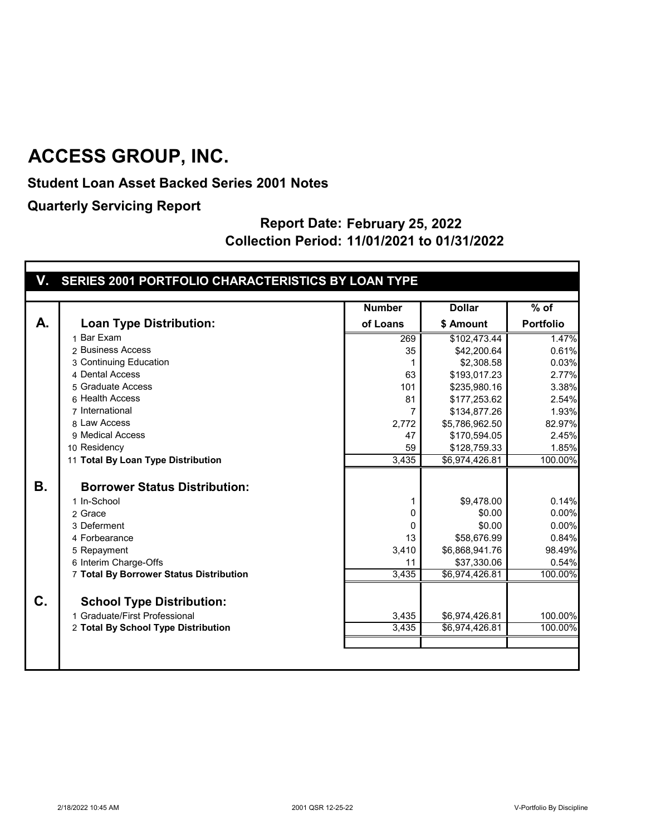**Student Loan Asset Backed Series 2001 Notes**

**Quarterly Servicing Report**

#### **Report Date: February 25, 2022 Collection Period: 11/01/2021 to 01/31/2022**

# **V. SERIES 2001 PORTFOLIO CHARACTERISTICS BY LOAN TYPE**

|           |                                         | <b>Number</b> | <b>Dollar</b>        | $%$ of           |
|-----------|-----------------------------------------|---------------|----------------------|------------------|
| A.        | <b>Loan Type Distribution:</b>          | of Loans      | \$ Amount            | <b>Portfolio</b> |
|           | 1 Bar Exam                              | 269           | \$102,473.44         | 1.47%            |
|           | 2 Business Access                       | 35            | \$42,200.64          | 0.61%            |
|           | 3 Continuing Education                  | 1             | \$2,308.58           | 0.03%            |
|           | 4 Dental Access                         | 63            | \$193,017.23         | 2.77%            |
|           | 5 Graduate Access                       | 101           | \$235,980.16         | 3.38%            |
|           | 6 Health Access                         | 81            | \$177,253.62         | 2.54%            |
|           | 7 International                         | 7             | \$134,877.26         | 1.93%            |
|           | 8 Law Access                            | 2,772         | \$5,786,962.50       | 82.97%           |
|           | 9 Medical Access                        | 47            | \$170,594.05         | 2.45%            |
|           | 10 Residency                            | 59            | \$128,759.33         | 1.85%            |
|           | 11 Total By Loan Type Distribution      | 3,435         | \$6,974,426.81       | 100.00%          |
| <b>B.</b> | <b>Borrower Status Distribution:</b>    |               |                      |                  |
|           | 1 In-School                             |               |                      | 0.14%            |
|           | 2 Grace                                 | 1<br>0        | \$9,478.00<br>\$0.00 | 0.00%            |
|           | 3 Deferment                             | 0             | \$0.00               | 0.00%            |
|           | 4 Forbearance                           | 13            | \$58,676.99          | 0.84%            |
|           | 5 Repayment                             | 3,410         | \$6,868,941.76       | 98.49%           |
|           | 6 Interim Charge-Offs                   | 11            | \$37,330.06          | 0.54%            |
|           | 7 Total By Borrower Status Distribution | 3,435         | \$6,974,426.81       | 100.00%          |
|           |                                         |               |                      |                  |
| $C_{1}$   | <b>School Type Distribution:</b>        |               |                      |                  |
|           | 1 Graduate/First Professional           | 3,435         | \$6,974,426.81       | 100.00%          |
|           | 2 Total By School Type Distribution     | 3,435         | \$6,974,426.81       | 100.00%          |
|           |                                         |               |                      |                  |
|           |                                         |               |                      |                  |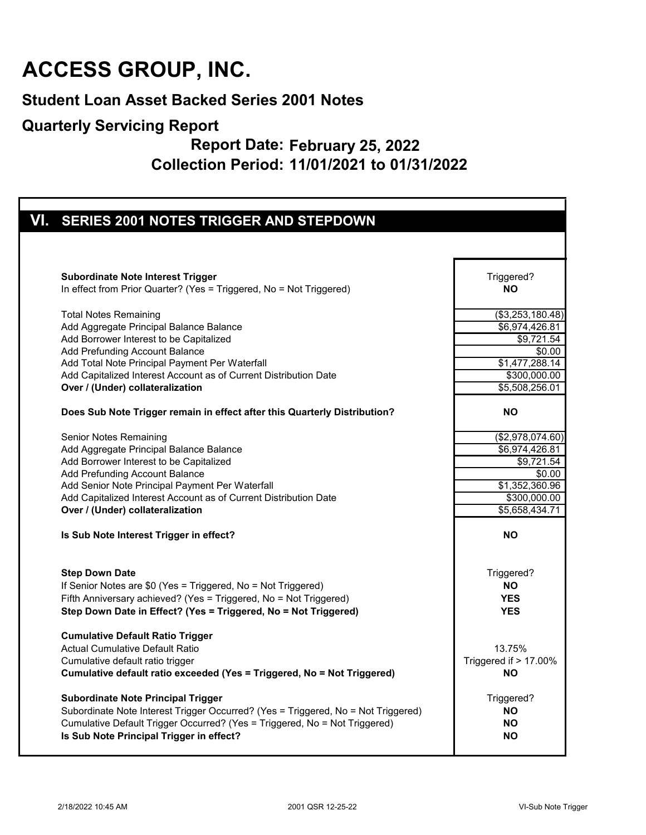#### **Student Loan Asset Backed Series 2001 Notes**

#### **Quarterly Servicing Report**

#### **Report Date: February 25, 2022 Collection Period: 11/01/2021 to 01/31/2022**

| VI. SERIES 2001 NOTES TRIGGER AND STEPDOWN                                                                                                                                                                                                                                                                                                                                                                                                                   |                                                                                                   |
|--------------------------------------------------------------------------------------------------------------------------------------------------------------------------------------------------------------------------------------------------------------------------------------------------------------------------------------------------------------------------------------------------------------------------------------------------------------|---------------------------------------------------------------------------------------------------|
|                                                                                                                                                                                                                                                                                                                                                                                                                                                              |                                                                                                   |
| <b>Subordinate Note Interest Trigger</b>                                                                                                                                                                                                                                                                                                                                                                                                                     | Triggered?                                                                                        |
| In effect from Prior Quarter? (Yes = Triggered, No = Not Triggered)                                                                                                                                                                                                                                                                                                                                                                                          | <b>NO</b>                                                                                         |
| <b>Total Notes Remaining</b>                                                                                                                                                                                                                                                                                                                                                                                                                                 | $\overline{(\$3,253,180.48)}$                                                                     |
| Add Aggregate Principal Balance Balance                                                                                                                                                                                                                                                                                                                                                                                                                      | \$6,974,426.81                                                                                    |
| Add Borrower Interest to be Capitalized                                                                                                                                                                                                                                                                                                                                                                                                                      | \$9,721.54                                                                                        |
| Add Prefunding Account Balance                                                                                                                                                                                                                                                                                                                                                                                                                               | \$0.00                                                                                            |
| Add Total Note Principal Payment Per Waterfall                                                                                                                                                                                                                                                                                                                                                                                                               | \$1,477,288.14                                                                                    |
| Add Capitalized Interest Account as of Current Distribution Date                                                                                                                                                                                                                                                                                                                                                                                             | \$300,000.00                                                                                      |
| Over / (Under) collateralization                                                                                                                                                                                                                                                                                                                                                                                                                             | \$5,508,256.01                                                                                    |
| Does Sub Note Trigger remain in effect after this Quarterly Distribution?                                                                                                                                                                                                                                                                                                                                                                                    | <b>NO</b>                                                                                         |
| Senior Notes Remaining                                                                                                                                                                                                                                                                                                                                                                                                                                       | (\$2,978,074.60)                                                                                  |
| Add Aggregate Principal Balance Balance                                                                                                                                                                                                                                                                                                                                                                                                                      | \$6,974,426.81                                                                                    |
| Add Borrower Interest to be Capitalized                                                                                                                                                                                                                                                                                                                                                                                                                      | \$9,721.54                                                                                        |
| Add Prefunding Account Balance                                                                                                                                                                                                                                                                                                                                                                                                                               | \$0.00                                                                                            |
| Add Senior Note Principal Payment Per Waterfall                                                                                                                                                                                                                                                                                                                                                                                                              | \$1,352,360.96                                                                                    |
| Add Capitalized Interest Account as of Current Distribution Date                                                                                                                                                                                                                                                                                                                                                                                             | \$300,000.00                                                                                      |
| Over / (Under) collateralization                                                                                                                                                                                                                                                                                                                                                                                                                             | \$5,658,434.71                                                                                    |
| Is Sub Note Interest Trigger in effect?                                                                                                                                                                                                                                                                                                                                                                                                                      | <b>NO</b>                                                                                         |
| <b>Step Down Date</b>                                                                                                                                                                                                                                                                                                                                                                                                                                        | Triggered?                                                                                        |
| If Senior Notes are \$0 (Yes = Triggered, No = Not Triggered)                                                                                                                                                                                                                                                                                                                                                                                                | <b>NO</b>                                                                                         |
| Fifth Anniversary achieved? (Yes = Triggered, No = Not Triggered)                                                                                                                                                                                                                                                                                                                                                                                            | <b>YES</b>                                                                                        |
| Step Down Date in Effect? (Yes = Triggered, No = Not Triggered)                                                                                                                                                                                                                                                                                                                                                                                              | <b>YES</b>                                                                                        |
| <b>Cumulative Default Ratio Trigger</b><br><b>Actual Cumulative Default Ratio</b><br>Cumulative default ratio trigger<br>Cumulative default ratio exceeded (Yes = Triggered, No = Not Triggered)<br><b>Subordinate Note Principal Trigger</b><br>Subordinate Note Interest Trigger Occurred? (Yes = Triggered, No = Not Triggered)<br>Cumulative Default Trigger Occurred? (Yes = Triggered, No = Not Triggered)<br>Is Sub Note Principal Trigger in effect? | 13.75%<br>Triggered if > 17.00%<br><b>NO</b><br>Triggered?<br><b>NO</b><br><b>NO</b><br><b>NO</b> |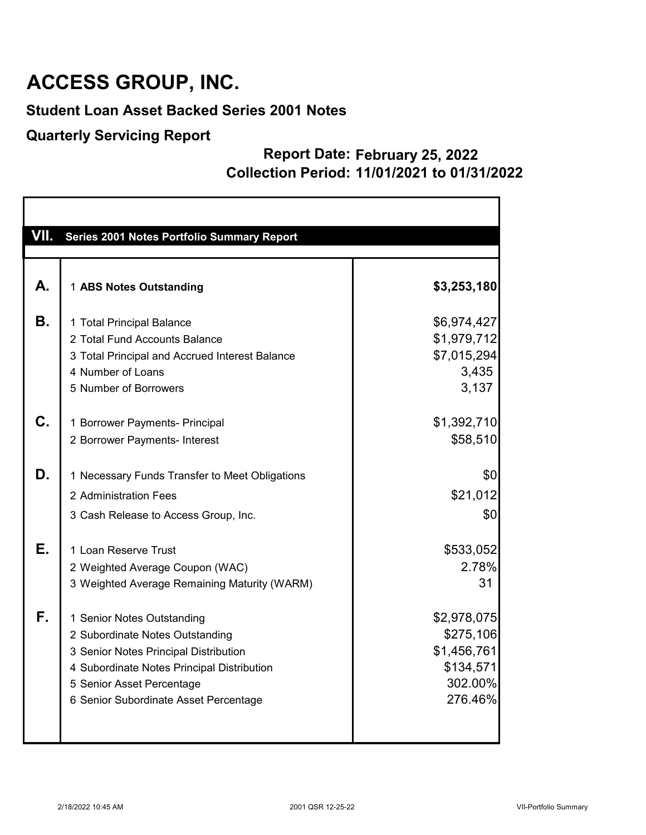### **Student Loan Asset Backed Series 2001 Notes**

#### **Quarterly Servicing Report**

#### **Report Date: February 25, 2022 Collection Period: 11/01/2021 to 01/31/2022**

| VII. | Series 2001 Notes Portfolio Summary Report     |             |
|------|------------------------------------------------|-------------|
|      |                                                |             |
| А.   | 1 ABS Notes Outstanding                        | \$3,253,180 |
| В.   | 1 Total Principal Balance                      | \$6,974,427 |
|      | 2 Total Fund Accounts Balance                  | \$1,979,712 |
|      | 3 Total Principal and Accrued Interest Balance | \$7,015,294 |
|      | 4 Number of Loans                              | 3,435       |
|      | 5 Number of Borrowers                          | 3,137       |
| C.   | 1 Borrower Payments- Principal                 | \$1,392,710 |
|      | 2 Borrower Payments- Interest                  | \$58,510    |
| D.   | 1 Necessary Funds Transfer to Meet Obligations | \$0         |
|      | 2 Administration Fees                          | \$21,012    |
|      |                                                |             |
|      | 3 Cash Release to Access Group, Inc.           | \$0         |
| Е.   | 1 Loan Reserve Trust                           | \$533,052   |
|      | 2 Weighted Average Coupon (WAC)                | 2.78%       |
|      | 3 Weighted Average Remaining Maturity (WARM)   | 31          |
| F.   | 1 Senior Notes Outstanding                     | \$2,978,075 |
|      | 2 Subordinate Notes Outstanding                | \$275,106   |
|      | 3 Senior Notes Principal Distribution          | \$1,456,761 |
|      | 4 Subordinate Notes Principal Distribution     | \$134,571   |
|      | 5 Senior Asset Percentage                      | 302.00%     |
|      | 6 Senior Subordinate Asset Percentage          | 276.46%     |
|      |                                                |             |
|      |                                                |             |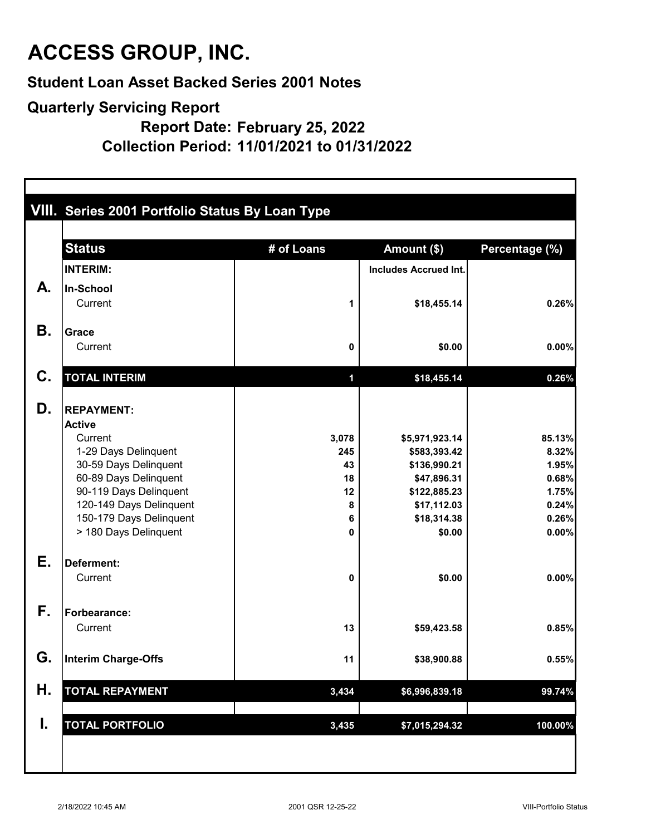**Student Loan Asset Backed Series 2001 Notes**

#### **Quarterly Servicing Report**

**Report Date: February 25, 2022**

**Collection Period: 11/01/2021 to 01/31/2022**

|           | VIII. Series 2001 Portfolio Status By Loan Type |            |                              |                |  |  |  |
|-----------|-------------------------------------------------|------------|------------------------------|----------------|--|--|--|
|           | <b>Status</b>                                   | # of Loans | Amount (\$)                  | Percentage (%) |  |  |  |
|           | <b>INTERIM:</b>                                 |            | <b>Includes Accrued Int.</b> |                |  |  |  |
| А.        | In-School                                       |            |                              |                |  |  |  |
|           | Current                                         | 1          | \$18,455.14                  | 0.26%          |  |  |  |
| <b>B.</b> |                                                 |            |                              |                |  |  |  |
|           | <b>Grace</b><br>Current                         | 0          | \$0.00                       | 0.00%          |  |  |  |
| C.        | <b>TOTAL INTERIM</b>                            | 1          | \$18,455.14                  | 0.26%          |  |  |  |
| D.        | <b>REPAYMENT:</b><br><b>Active</b>              |            |                              |                |  |  |  |
|           | Current                                         | 3,078      | \$5,971,923.14               | 85.13%         |  |  |  |
|           | 1-29 Days Delinquent                            | 245        | \$583,393.42                 | 8.32%          |  |  |  |
|           | 30-59 Days Delinquent<br>60-89 Days Delinquent  | 43<br>18   | \$136,990.21<br>\$47,896.31  | 1.95%<br>0.68% |  |  |  |
|           | 90-119 Days Delinquent                          | 12         | \$122,885.23                 | 1.75%          |  |  |  |
|           | 120-149 Days Delinquent                         | 8          | \$17,112.03                  | 0.24%          |  |  |  |
|           | 150-179 Days Delinquent                         | 6          | \$18,314.38                  | 0.26%          |  |  |  |
|           | > 180 Days Delinquent                           | 0          | \$0.00                       | 0.00%          |  |  |  |
| Е.        | Deferment:                                      |            |                              |                |  |  |  |
|           | Current                                         | 0          | \$0.00                       | 0.00%          |  |  |  |
| F.        | <b>Forbearance:</b>                             |            |                              |                |  |  |  |
|           | Current                                         | 13         | \$59,423.58                  | 0.85%          |  |  |  |
| G.        | Interim Charge-Offs                             | 11         | \$38,900.88                  | 0.55%          |  |  |  |
| Н.        | <b>TOTAL REPAYMENT</b>                          | 3,434      | \$6,996,839.18               | 99.74%         |  |  |  |
|           |                                                 |            |                              |                |  |  |  |
| I.        | <b>TOTAL PORTFOLIO</b>                          | 3,435      | \$7,015,294.32               | 100.00%        |  |  |  |
|           |                                                 |            |                              |                |  |  |  |